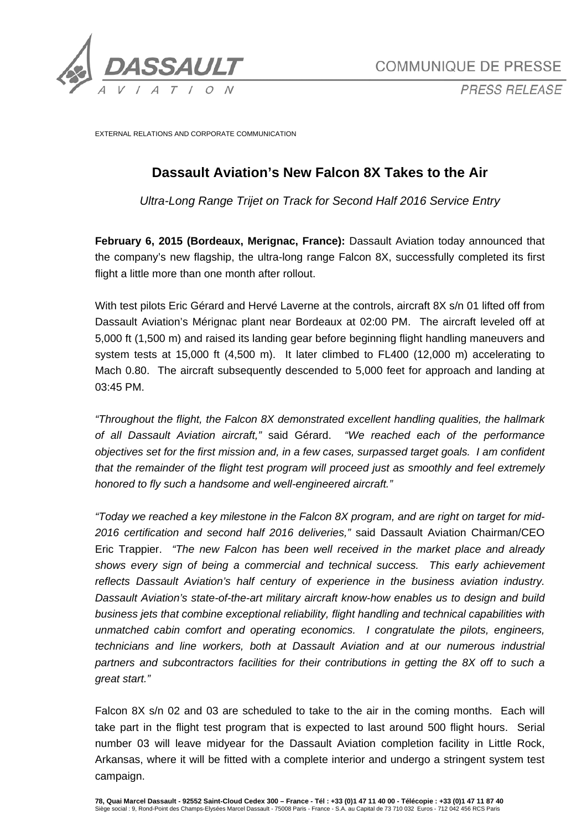

*PRESS RELEASE* 

EXTERNAL RELATIONS AND CORPORATE COMMUNICATION

# **Dassault Aviation's New Falcon 8X Takes to the Air**

*Ultra-Long Range Trijet on Track for Second Half 2016 Service Entry* 

**February 6, 2015 (Bordeaux, Merignac, France):** Dassault Aviation today announced that the company's new flagship, the ultra-long range Falcon 8X, successfully completed its first flight a little more than one month after rollout.

With test pilots Eric Gérard and Hervé Laverne at the controls, aircraft 8X s/n 01 lifted off from Dassault Aviation's Mérignac plant near Bordeaux at 02:00 PM. The aircraft leveled off at 5,000 ft (1,500 m) and raised its landing gear before beginning flight handling maneuvers and system tests at 15,000 ft (4,500 m). It later climbed to FL400 (12,000 m) accelerating to Mach 0.80. The aircraft subsequently descended to 5,000 feet for approach and landing at 03:45 PM.

*"Throughout the flight, the Falcon 8X demonstrated excellent handling qualities, the hallmark of all Dassault Aviation aircraft,"* said Gérard. *"We reached each of the performance objectives set for the first mission and, in a few cases, surpassed target goals. I am confident that the remainder of the flight test program will proceed just as smoothly and feel extremely honored to fly such a handsome and well-engineered aircraft."*

*"Today we reached a key milestone in the Falcon 8X program, and are right on target for mid-2016 certification and second half 2016 deliveries,"* said Dassault Aviation Chairman/CEO Eric Trappier. *"The new Falcon has been well received in the market place and already shows every sign of being a commercial and technical success. This early achievement reflects Dassault Aviation's half century of experience in the business aviation industry. Dassault Aviation's state-of-the-art military aircraft know-how enables us to design and build business jets that combine exceptional reliability, flight handling and technical capabilities with unmatched cabin comfort and operating economics. I congratulate the pilots, engineers, technicians and line workers, both at Dassault Aviation and at our numerous industrial partners and subcontractors facilities for their contributions in getting the 8X off to such a great start."*

Falcon 8X s/n 02 and 03 are scheduled to take to the air in the coming months. Each will take part in the flight test program that is expected to last around 500 flight hours. Serial number 03 will leave midyear for the Dassault Aviation completion facility in Little Rock, Arkansas, where it will be fitted with a complete interior and undergo a stringent system test campaign.